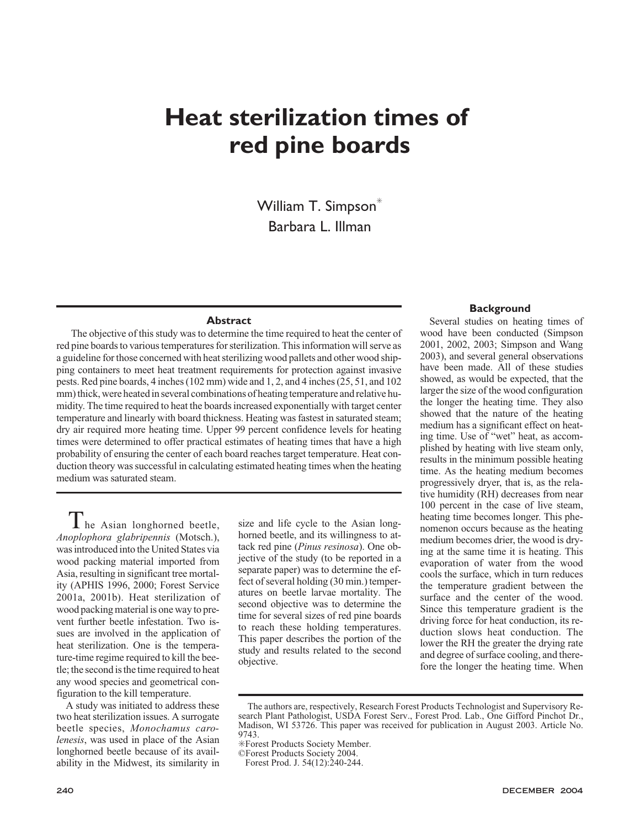# **Heat sterilization times of red pine boards**

William T. Simpson<sup>\*</sup> Barbara L. Illman

### **Abstract**

The objective of this study was to determine the time required to heat the center of red pine boards to various temperatures for sterilization. This information will serve as a guideline for those concerned with heat sterilizing wood pallets and other wood shipping containers to meet heat treatment requirements for protection against invasive pests. Red pine boards, 4 inches (102 mm) wide and 1, 2, and 4 inches (25, 51, and 102 mm) thick, were heated in several combinations of heating temperature and relative humidity. The time required to heat the boards increased exponentially with target center temperature and linearly with board thickness. Heating was fastest in saturated steam; dry air required more heating time. Upper 99 percent confidence levels for heating times were determined to offer practical estimates of heating times that have a high probability of ensuring the center of each board reaches target temperature. Heat conduction theory was successful in calculating estimated heating times when the heating medium was saturated steam.

The Asian longhorned beetle, *Anoplophora glabripennis* (Motsch.), was introduced into the United States via wood packing material imported from Asia, resulting in significant tree mortality (APHIS 1996, 2000; Forest Service 2001a, 2001b). Heat sterilization of wood packing material is one way to prevent further beetle infestation. Two issues are involved in the application of heat sterilization. One is the temperature-time regime required to kill the beetle; the second is the time required to heat any wood species and geometrical configuration to the kill temperature.

A study was initiated to address these two heat sterilization issues. A surrogate beetle species, *Monochamus carolenesis*, was used in place of the Asian longhorned beetle because of its availability in the Midwest, its similarity in

size and life cycle to the Asian longhorned beetle, and its willingness to attack red pine (*Pinus resinosa*). One objective of the study (to be reported in a separate paper) was to determine the effect of several holding (30 min.) temperatures on beetle larvae mortality. The second objective was to determine the time for several sizes of red pine boards to reach these holding temperatures. This paper describes the portion of the study and results related to the second objective.

## **Background**

Several studies on heating times of wood have been conducted (Simpson 2001, 2002, 2003; Simpson and Wang 2003), and several general observations have been made. All of these studies showed, as would be expected, that the larger the size of the wood configuration the longer the heating time. They also showed that the nature of the heating medium has a significant effect on heating time. Use of "wet" heat, as accomplished by heating with live steam only, results in the minimum possible heating time. As the heating medium becomes progressively dryer, that is, as the relative humidity (RH) decreases from near 100 percent in the case of live steam, heating time becomes longer. This phenomenon occurs because as the heating medium becomes drier, the wood is drying at the same time it is heating. This evaporation of water from the wood cools the surface, which in turn reduces the temperature gradient between the surface and the center of the wood. Since this temperature gradient is the driving force for heat conduction, its reduction slows heat conduction. The lower the RH the greater the drying rate and degree of surface cooling, and therefore the longer the heating time. When

The authors are, respectively, Research Forest Products Technologist and Supervisory Research Plant Pathologist, USDA Forest Serv., Forest Prod. Lab., One Gifford Pinchot Dr., Madison, WI 53726. This paper was received for publication in August 2003. Article No. 9743.

<sup>✳</sup>Forest Products Society Member.

<sup>©</sup>Forest Products Society 2004.

Forest Prod. J. 54(12):240-244.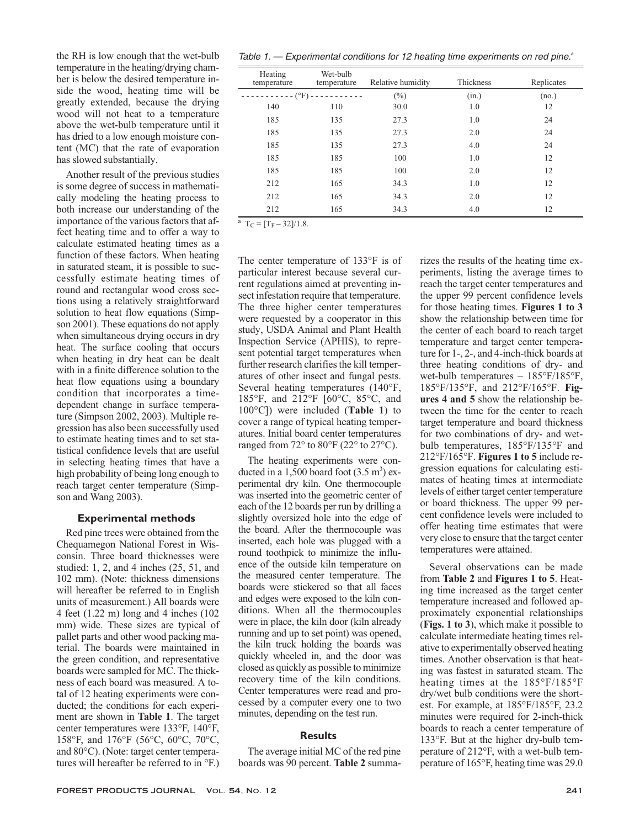the RH is low enough that the wet-bulb temperature in the heating/drying chamber is below the desired temperature inside the wood, heating time will be greatly extended, because the drying wood will not heat to a temperature above the wet-bulb temperature until it has dried to a low enough moisture content (MC) that the rate of evaporation has slowed substantially.

Another result of the previous studies is some degree of success in mathematically modeling the heating process to both increase our understanding of the importance of the various factors that affect heating time and to offer a way to calculate estimated heating times as a function of these factors. When heating in saturated steam, it is possible to successfully estimate heating times of round and rectangular wood cross sections using a relatively straightforward solution to heat flow equations (Simpson 2001). These equations do not apply when simultaneous drying occurs in dry heat. The surface cooling that occurs when heating in dry heat can be dealt with in a finite difference solution to the heat flow equations using a boundary condition that incorporates a timedependent change in surface temperature (Simpson 2002, 2003). Multiple regression has also been successfully used to estimate heating times and to set statistical confidence levels that are useful in selecting heating times that have a high probability of being long enough to reach target center temperature (Simpson and Wang 2003).

## **Experimental methods**

Red pine trees were obtained from the Chequamegon National Forest in Wisconsin. Three board thicknesses were studied: 1, 2, and 4 inches (25, 51, and 102 mm). (Note: thickness dimensions will hereafter be referred to in English units of measurement.) All boards were 4 feet (1.22 m) long and 4 inches (102 mm) wide. These sizes are typical of pallet parts and other wood packing material. The boards were maintained in the green condition, and representative boards were sampled for MC. The thickness of each board was measured. A total of 12 heating experiments were conducted; the conditions for each experiment are shown in **Table 1**. The target center temperatures were 133°F, 140°F, 158°F, and 176°F (56°C, 60°C, 70°C, and 80°C). (Note: target center temperatures will hereafter be referred to in °F.)

Table 1.  $-$  Experimental conditions for 12 heating time experiments on red pine. $a$ 

| Heating<br>temperature | Wet-bulb<br>temperature | Relative humidity | Thickness | Replicates |
|------------------------|-------------------------|-------------------|-----------|------------|
| $------(°F) -$         |                         | $(\%)$<br>(in.)   |           | (no.)      |
| 140                    | 110                     | 30.0              | 1.0       | 12         |
| 185                    | 135                     | 27.3              | 1.0       | 24         |
| 185                    | 135                     | 27.3              | 2.0       | 24         |
| 185                    | 135                     | 27.3              | 4.0       | 24         |
| 185                    | 185                     | 100               | 1.0       | 12         |
| 185                    | 185                     | 100               | 2.0       | 12         |
| 212                    | 165                     | 34.3              | 1.0       | 12         |
| 212                    | 165                     | 34.3              | 2.0       | 12         |
| 212                    | 165                     | 34.3              | 4.0       | 12         |

 $\overline{a}$  T<sub>C</sub> =  $[T_F - 32]/1.8$ .

The center temperature of 133°F is of particular interest because several current regulations aimed at preventing insect infestation require that temperature. The three higher center temperatures were requested by a cooperator in this study, USDA Animal and Plant Health Inspection Service (APHIS), to represent potential target temperatures when further research clarifies the kill temperatures of other insect and fungal pests. Several heating temperatures (140°F, 185°F, and 212°F [60°C, 85°C, and 100°C]) were included (**Table 1**) to cover a range of typical heating temperatures. Initial board center temperatures ranged from  $72^{\circ}$  to  $80^{\circ}$ F ( $22^{\circ}$  to  $27^{\circ}$ C).

The heating experiments were conducted in a  $1,500$  board foot  $(3.5 \text{ m}^3)$  experimental dry kiln. One thermocouple was inserted into the geometric center of each of the 12 boards per run by drilling a slightly oversized hole into the edge of the board. After the thermocouple was inserted, each hole was plugged with a round toothpick to minimize the influence of the outside kiln temperature on the measured center temperature. The boards were stickered so that all faces and edges were exposed to the kiln conditions. When all the thermocouples were in place, the kiln door (kiln already running and up to set point) was opened, the kiln truck holding the boards was quickly wheeled in, and the door was closed as quickly as possible to minimize recovery time of the kiln conditions. Center temperatures were read and processed by a computer every one to two minutes, depending on the test run.

# **Results**

The average initial MC of the red pine boards was 90 percent. **Table 2** summarizes the results of the heating time experiments, listing the average times to reach the target center temperatures and the upper 99 percent confidence levels for those heating times. **Figures 1 to 3** show the relationship between time for the center of each board to reach target temperature and target center temperature for 1-, 2-, and 4-inch-thick boards at three heating conditions of dry- and wet-bulb temperatures – 185°F/185°F, 185°F/135°F, and 212°F/165°F. **Figures 4 and 5** show the relationship between the time for the center to reach target temperature and board thickness for two combinations of dry- and wetbulb temperatures, 185°F/135°F and 212°F/165°F. **Figures 1 to 5** include regression equations for calculating estimates of heating times at intermediate levels of either target center temperature or board thickness. The upper 99 percent confidence levels were included to offer heating time estimates that were very close to ensure that the target center temperatures were attained.

Several observations can be made from **Table 2** and **Figures 1 to 5**. Heating time increased as the target center temperature increased and followed approximately exponential relationships (**Figs. 1 to 3**), which make it possible to calculate intermediate heating times relative to experimentally observed heating times. Another observation is that heating was fastest in saturated steam. The heating times at the 185°F/185°F dry/wet bulb conditions were the shortest. For example, at 185°F/185°F, 23.2 minutes were required for 2-inch-thick boards to reach a center temperature of 133°F. But at the higher dry-bulb temperature of 212°F, with a wet-bulb temperature of 165°F, heating time was 29.0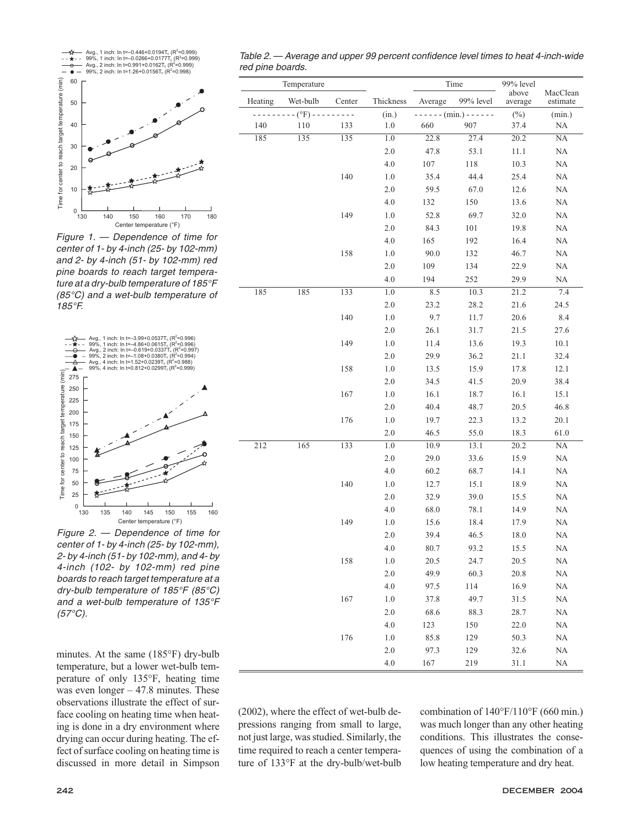

Figure 1. — Dependence of time for center of 1- by 4-inch (25- by 102-mm) and 2- by 4-inch (51- by 102-mm) red pine boards to reach target temperature at <sup>a</sup> dry-bulb temperature of 185°F (85°C) and <sup>a</sup> wet-bulb temperature of 185°F.



Figure 2. — Dependence of time for center of 1- by 4-inch (25- by 102-mm), 2- by 4-inch (51- by 102-mm), and 4- by 4-inch (102- by 102-mm) red pine boards to reach target temperature at <sup>a</sup> dry-bulb temperature of 185°F (85°C) and <sup>a</sup> wet-bulb temperature of 135°F  $(57^{\circ}C).$ 

minutes. At the same (185°F) dry-bulb temperature, but a lower wet-bulb temperature of only 135°F, heating time was even longer – 47.8 minutes. These observations illustrate the effect of surface cooling on heating time when heating is done in a dry environment where drying can occur during heating. The effect of surface cooling on heating time is discussed in more detail in Simpson

| Table 2. — Average and upper 99 percent confidence level times to heat 4-inch-wide |  |  |
|------------------------------------------------------------------------------------|--|--|
| red pine boards.                                                                   |  |  |

| Temperature |                |        |           | Time    |                | 99% level        |                      |
|-------------|----------------|--------|-----------|---------|----------------|------------------|----------------------|
| Heating     | Wet-bulb       | Center | Thickness | Average | 99% level      | above<br>average | MacClean<br>estimate |
|             | $- (°F) - - -$ |        | (in.)     |         | $---(min.)---$ |                  | (min.)               |
| 140         | 110            | 133    | 1.0       | 660     | 907            | $(\%)$<br>37.4   | NA                   |
| 185         | 135            | 135    | 1.0       | 22.8    | 27.4           | 20.2             | NA                   |
|             |                |        | 2.0       | 47.8    | 53.1           | 11.1             | NA                   |
|             |                |        | 4.0       | 107     | 118            | 10.3             | $\rm NA$             |
|             |                | 140    | 1.0       | 35.4    | 44.4           | 25.4             | NA                   |
|             |                |        | $2.0\,$   | 59.5    | 67.0           | 12.6             | $\rm NA$             |
|             |                |        | 4.0       | 132     | 150            | 13.6             | NA                   |
|             |                | 149    | $1.0\,$   | 52.8    | 69.7           | 32.0             | NA                   |
|             |                |        | $2.0\,$   | 84.3    | 101            | 19.8             | NA                   |
|             |                |        | 4.0       | 165     | 192            | 16.4             | NA                   |
|             |                | 158    | 1.0       | 90.0    | 132            | 46.7             | NA                   |
|             |                |        | 2.0       | 109     | 134            | 22.9             | NA                   |
|             |                |        | 4.0       | 194     | 252            | 29.9             | NA                   |
| 185         | 185            | 133    | 1.0       | 8.5     | 10.3           | 21.2             | 7.4                  |
|             |                |        | 2.0       | 23.2    | 28.2           | 21.6             | 24.5                 |
|             |                | 140    | $1.0\,$   | 9.7     | 11.7           | 20.6             | 8.4                  |
|             |                |        | 2.0       | 26.1    | 31.7           | 21.5             | 27.6                 |
|             |                | 149    | $1.0\,$   | 11.4    | 13.6           | 19.3             | $10.1\,$             |
|             |                |        | $2.0\,$   | 29.9    | 36.2           | 21.1             | 32.4                 |
|             |                | 158    | $1.0\,$   | 13.5    | 15.9           | 17.8             | 12.1                 |
|             |                |        | 2.0       | 34.5    | 41.5           | 20.9             | 38.4                 |
|             |                | 167    | 1.0       | 16.1    | 18.7           | 16.1             | 15.1                 |
|             |                |        | 2.0       | 40.4    | 48.7           | 20.5             | 46.8                 |
|             |                | 176    | 1.0       | 19.7    | 22.3           | 13.2             | 20.1                 |
|             |                |        | 2.0       | 46.5    | 55.0           | 18.3             | 61.0                 |
| 212         | 165            | 133    | 1.0       | 10.9    | 13.1           | 20.2             | $\rm NA$             |
|             |                |        | $2.0\,$   | 29.0    | 33.6           | 15.9             | $\rm NA$             |
|             |                |        | 4.0       | 60.2    | 68.7           | 14.1             | NA                   |
|             |                | 140    | 1.0       | 12.7    | 15.1           | 18.9             | NA                   |
|             |                |        | $2.0\,$   | 32.9    | 39.0           | 15.5             | $\rm NA$             |
|             |                |        | 4.0       | 68.0    | 78.1           | 14.9             | NA                   |
|             |                | 149    | 1.0       | 15.6    | 18.4           | 17.9             | NA                   |
|             |                |        | $2.0$     | 39.4    | 46.5           | 18.0             | NA                   |
|             |                |        | 4.0       | 80.7    | 93.2           | 15.5             | NA                   |
|             |                | 158    | $1.0\,$   | 20.5    | 24.7           | 20.5             | NA                   |
|             |                |        | $2.0\,$   | 49.9    | 60.3           | 20.8             | NA                   |
|             |                |        | 4.0       | 97.5    | 114            | 16.9             | NA                   |
|             |                | 167    | $1.0\,$   | 37.8    | 49.7           | 31.5             | NA                   |
|             |                |        | $2.0\,$   | 68.6    | 88.3           | 28.7             | $\rm NA$             |
|             |                |        | 4.0       | 123     | 150            | 22.0             | $\rm NA$             |
|             |                | 176    | 1.0       | 85.8    | 129            | 50.3             | $\rm NA$             |
|             |                |        | $2.0\,$   | 97.3    | 129            | 32.6             | $\rm NA$             |
|             |                |        | 4.0       | 167     | 219            | 31.1             | NA                   |

(2002), where the effect of wet-bulb depressions ranging from small to large, not just large, was studied. Similarly, the time required to reach a center temperature of 133°F at the dry-bulb/wet-bulb combination of 140°F/110°F (660 min.) was much longer than any other heating conditions. This illustrates the consequences of using the combination of a low heating temperature and dry heat.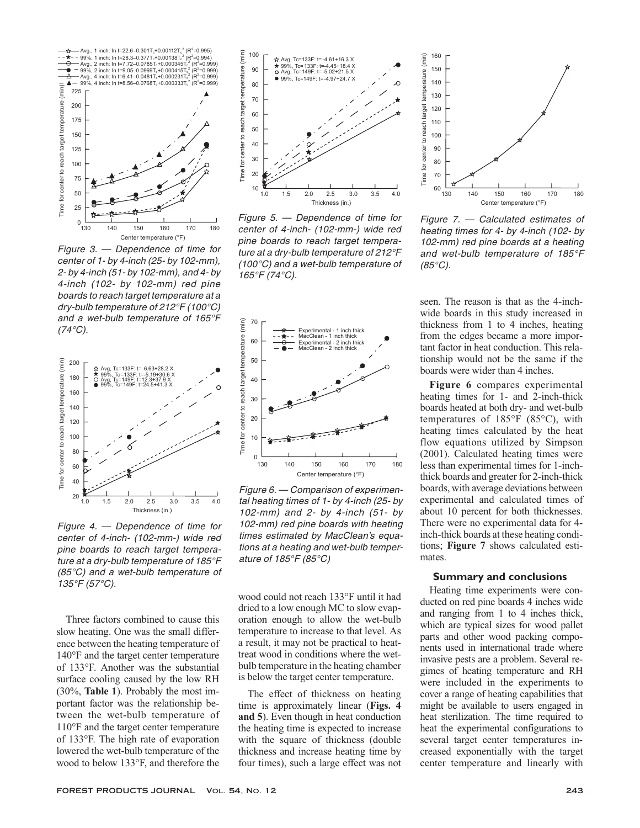

Figure 3. — Dependence of time for center of 1- by 4-inch (25- by 102-mm), 2- by 4-inch (51- by 102-mm), and 4- by 4-inch (102- by 102-mm) red pine boards to reach target temperature at <sup>a</sup> dry-bulb temperature of 212°F (100°C) and <sup>a</sup> wet-bulb temperature of 165°F  $(74^{\circ}C).$ 



Figure 4. — Dependence of time for center of 4-inch- (102-mm-) wide red pine boards to reach target temperature at <sup>a</sup> dry-bulb temperature of 185°F (85°C) and <sup>a</sup> wet-bulb temperature of 135°F (57°C).

Three factors combined to cause this slow heating. One was the small difference between the heating temperature of 140°F and the target center temperature of 133°F. Another was the substantial surface cooling caused by the low RH (30%, **Table 1**). Probably the most important factor was the relationship between the wet-bulb temperature of 110°F and the target center temperature of 133°F. The high rate of evaporation lowered the wet-bulb temperature of the wood to below 133°F, and therefore the



Figure 5. — Dependence of time for center of 4-inch- (102-mm-) wide red pine boards to reach target temperature at <sup>a</sup> dry-bulb temperature of 212°F (100°C) and <sup>a</sup> wet-bulb temperature of 165°F (74°C).



Figure 6. — Comparison of experimental heating times of 1- by 4-inch (25- by 102-mm) and 2- by 4-inch (51- by 102-mm) red pine boards with heating times estimated by MacClean's equations at <sup>a</sup> heating and wet-bulb temperature of 185°F (85°C)

wood could not reach 133°F until it had dried to a low enough MC to slow evaporation enough to allow the wet-bulb temperature to increase to that level. As a result, it may not be practical to heattreat wood in conditions where the wetbulb temperature in the heating chamber is below the target center temperature.

The effect of thickness on heating time is approximately linear (**Figs. 4 and 5**). Even though in heat conduction the heating time is expected to increase with the square of thickness (double thickness and increase heating time by four times), such a large effect was not



Figure 7. — Calculated estimates of heating times for 4- by 4-inch (102- by 102-mm) red pine boards at <sup>a</sup> heating and wet-bulb temperature of 185°F  $(85^{\circ}C)$ .

seen. The reason is that as the 4-inchwide boards in this study increased in thickness from 1 to 4 inches, heating from the edges became a more important factor in heat conduction. This relationship would not be the same if the boards were wider than 4 inches.

**Figure 6** compares experimental heating times for 1- and 2-inch-thick boards heated at both dry- and wet-bulb temperatures of 185°F (85°C), with heating times calculated by the heat flow equations utilized by Simpson (2001). Calculated heating times were less than experimental times for 1-inchthick boards and greater for 2-inch-thick boards, with average deviations between experimental and calculated times of about 10 percent for both thicknesses. There were no experimental data for 4 inch-thick boards at these heating conditions; **Figure 7** shows calculated estimates.

# **Summary and conclusions**

Heating time experiments were conducted on red pine boards 4 inches wide and ranging from 1 to 4 inches thick, which are typical sizes for wood pallet parts and other wood packing components used in international trade where invasive pests are a problem. Several regimes of heating temperature and RH were included in the experiments to cover a range of heating capabilities that might be available to users engaged in heat sterilization. The time required to heat the experimental configurations to several target center temperatures increased exponentially with the target center temperature and linearly with